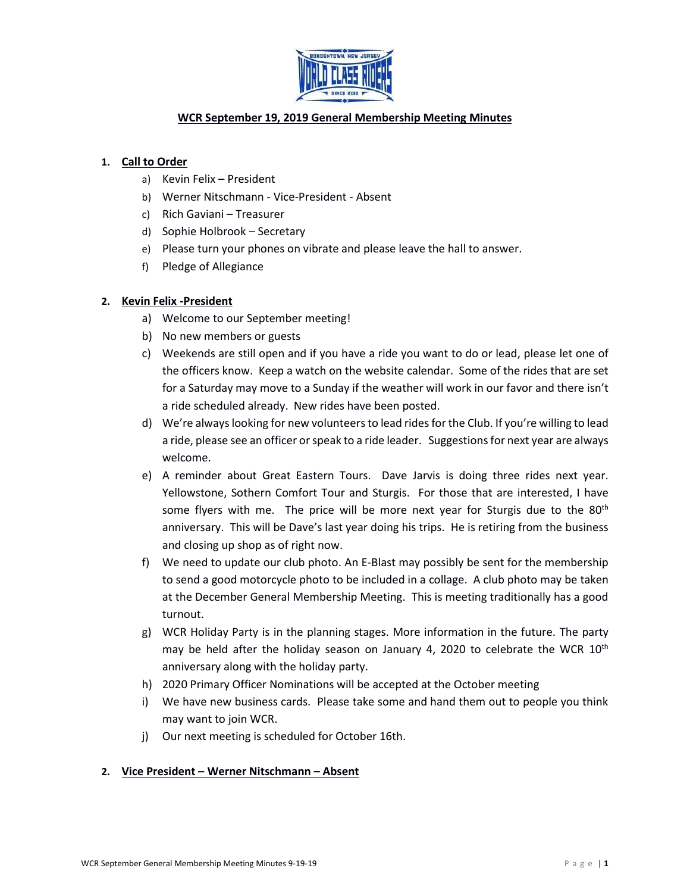

# **WCR September 19, 2019 General Membership Meeting Minutes**

## **1. Call to Order**

- a) Kevin Felix President
- b) Werner Nitschmann Vice-President Absent
- c) Rich Gaviani Treasurer
- d) Sophie Holbrook Secretary
- e) Please turn your phones on vibrate and please leave the hall to answer.
- f) Pledge of Allegiance

## **2. Kevin Felix -President**

- a) Welcome to our September meeting!
- b) No new members or guests
- c) Weekends are still open and if you have a ride you want to do or lead, please let one of the officers know. Keep a watch on the website calendar. Some of the rides that are set for a Saturday may move to a Sunday if the weather will work in our favor and there isn't a ride scheduled already. New rides have been posted.
- d) We're always looking for new volunteers to lead rides for the Club. If you're willing to lead a ride, please see an officer or speak to a ride leader. Suggestions for next year are always welcome.
- e) A reminder about Great Eastern Tours. Dave Jarvis is doing three rides next year. Yellowstone, Sothern Comfort Tour and Sturgis. For those that are interested, I have some flyers with me. The price will be more next year for Sturgis due to the  $80<sup>th</sup>$ anniversary. This will be Dave's last year doing his trips. He is retiring from the business and closing up shop as of right now.
- f) We need to update our club photo. An E-Blast may possibly be sent for the membership to send a good motorcycle photo to be included in a collage. A club photo may be taken at the December General Membership Meeting. This is meeting traditionally has a good turnout.
- g) WCR Holiday Party is in the planning stages. More information in the future. The party may be held after the holiday season on January 4, 2020 to celebrate the WCR  $10^{th}$ anniversary along with the holiday party.
- h) 2020 Primary Officer Nominations will be accepted at the October meeting
- i) We have new business cards. Please take some and hand them out to people you think may want to join WCR.
- j) Our next meeting is scheduled for October 16th.

### **2. Vice President – Werner Nitschmann – Absent**